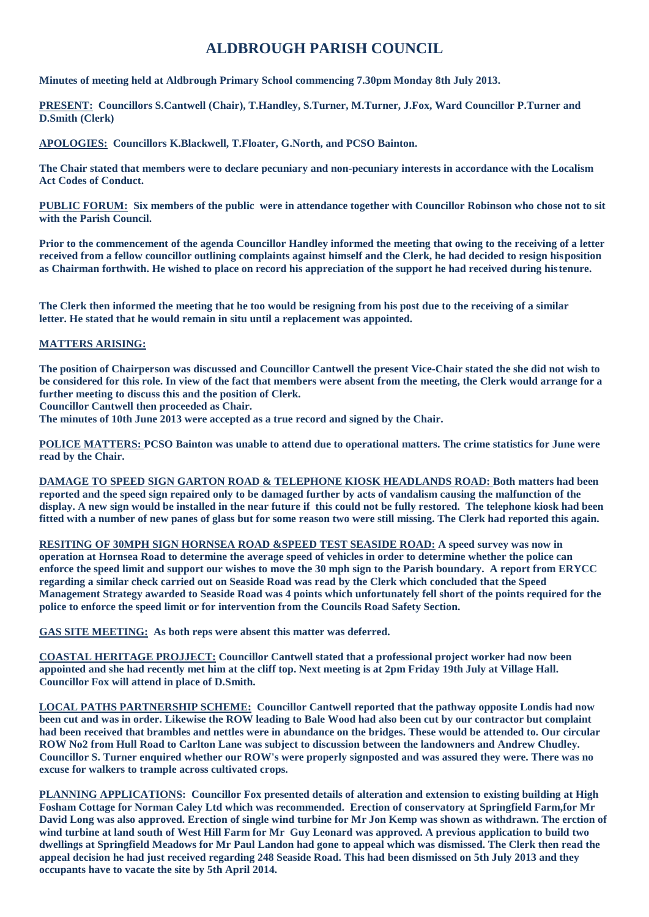## **ALDBROUGH PARISH COUNCIL**

**Minutes of meeting held at Aldbrough Primary School commencing 7.30pm Monday 8th July 2013.**

**PRESENT: Councillors S.Cantwell (Chair), T.Handley, S.Turner, M.Turner, J.Fox, Ward Councillor P.Turner and D.Smith (Clerk)**

**APOLOGIES: Councillors K.Blackwell, T.Floater, G.North, and PCSO Bainton.**

**The Chair stated that members were to declare pecuniary and non-pecuniary interests in accordance with the Localism Act Codes of Conduct.**

**PUBLIC FORUM: Six members of the public were in attendance together with Councillor Robinson who chose not to sit with the Parish Council.**

**Prior to the commencement of the agenda Councillor Handley informed the meeting that owing to the receiving of a letter <u>PUBLIC FORUM:</u> Six members of the public were in attendance together with Councillor Robinson who chose not to sit<br>with the Parish Council.<br>Prior to the commencement of the agenda Councillor Handley informed the meeting as Chairman forthwith. He wished to place on record his appreciation of the support he had received during histenure.** Prior to the commencement of the agenda Councillor Handley informed the meeting that owing to the receiving of a let received from a fellow councillor outlining complaints against himself and the Clerk, he had decided to r

**letter. He stated that he would remain in situ until a replacement was appointed.**

## **MATTERS ARISING:**

**The position of Chairperson was discussed and Councillor Cantwell the present Vice-Chair stated the she did not wish to be considered for this role. In view of the fact that members were absent from the meeting, the Clerk would arrange for a further meeting to discuss this and the position of Clerk.**

**Councillor Cantwell then proceeded as Chair.**

**The minutes of 10th June 2013 were accepted as a true record and signed by the Chair.**

**POLICE MATTERS: PCSO Bainton was unable to attend due to operational matters. The crime statistics for June were read by the Chair.**

**DAMAGE TO SPEED SIGN GARTON ROAD & TELEPHONE KIOSK HEADLANDS ROAD: Both matters had been reported and the speed sign repaired only to be damaged further by acts of vandalism causing the malfunction of the display. A new sign would be installed in the near future if this could not be fully restored. The telephone kiosk had been fitted with a number of new panes of glass but for some reason two were still missing. The Clerk had reported this again.**

**RESITING OF 30MPH SIGN HORNSEA ROAD &SPEED TEST SEASIDE ROAD: A speed survey was now in operation at Hornsea Road to determine the average speed of vehicles in order to determine whether the police can enforce the speed limit and support our wishes to move the 30 mph sign to the Parish boundary. A report from ERYCC regarding a similar check carried out on Seaside Road was read by the Clerk which concluded that the Speed Management Strategy awarded to Seaside Road was 4 points which unfortunately fell short of the points required for the police to enforce the speed limit or for intervention from the Councils Road Safety Section.**

**GAS SITE MEETING: As both reps were absent this matter was deferred.**

**COASTAL HERITAGE PROJJECT: Councillor Cantwell stated that a professional project worker had now been appointed and she had recently met him at the cliff top. Next meeting is at 2pm Friday 19th July at Village Hall. Councillor Fox will attend in place of D.Smith.**

**LOCAL PATHS PARTNERSHIP SCHEME: Councillor Cantwell reported that the pathway opposite Londis had now been cut and was in order. Likewise the ROW leading to Bale Wood had also been cut by our contractor but complaint had been received that brambles and nettles were in abundance on the bridges. These would be attended to. Our circular ROW No2 from Hull Road to Carlton Lane was subject to discussion between the landowners and Andrew Chudley. Councillor S. Turner enquired whether our ROW's were properly signposted and was assured they were. There was no excuse for walkers to trample across cultivated crops.**

**PLANNING APPLICATIONS: Councillor Fox presented details of alteration and extension to existing building at High Fosham Cottage for Norman Caley Ltd which was recommended. Erection of conservatory at Springfield Farm,for Mr David Long was also approved. Erection of single wind turbine for Mr Jon Kemp was shown as withdrawn. The erction of wind turbine at land south of West Hill Farm for Mr Guy Leonard was approved. A previous application to build two dwellings at Springfield Meadows for Mr Paul Landon had gone to appeal which was dismissed. The Clerk then read the appeal decision he had just received regarding 248 Seaside Road. This had been dismissed on 5th July 2013 and they occupants have to vacate the site by 5th April 2014.**